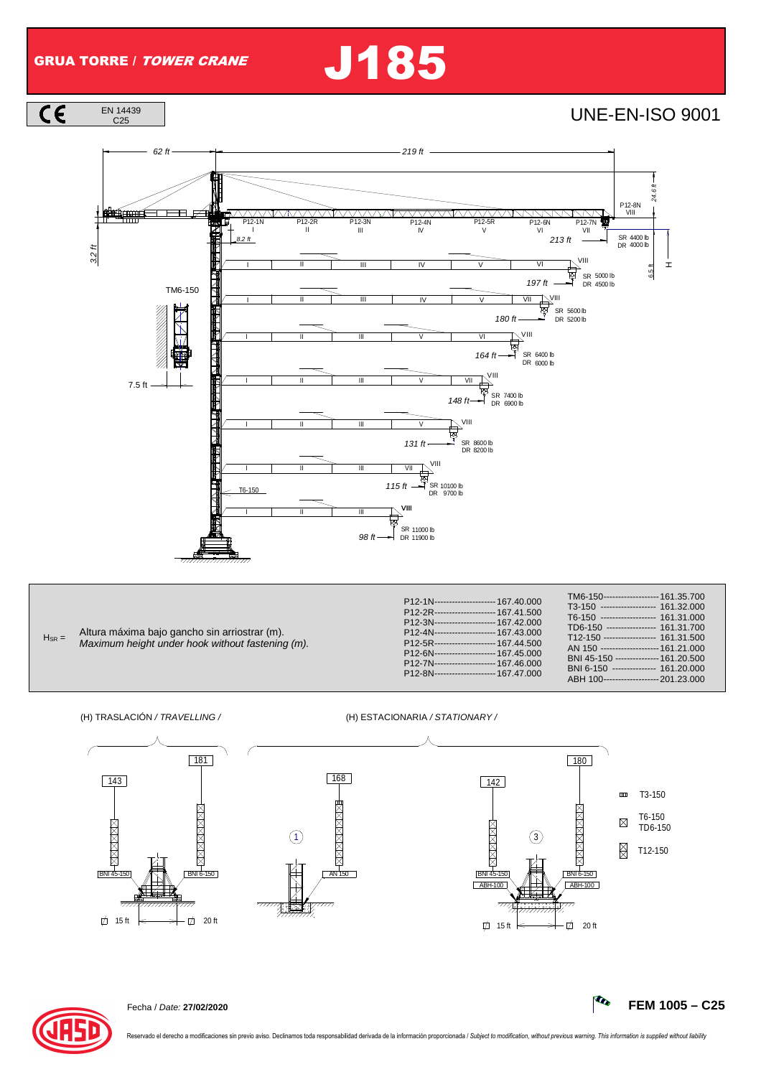$\overline{c}$ 

## GRUA TORRE / TOWER CRANE J185

**UNE-EN-ISO 9001** 



|            | Altura máxima bajo gancho sin arriostrar (m).                                             |
|------------|-------------------------------------------------------------------------------------------|
| $H_{SR} =$ | A desidence to the best of the state of the state of the state of the literature of the A |

| Altura maxima bajo gancho sin amostrar (m).      |  |  |  |  |  |
|--------------------------------------------------|--|--|--|--|--|
| Maximum height under hook without fastening (m). |  |  |  |  |  |

(H) TRASLACIÓN / TRAVELLING / (H) ESTACIONARIA / STATIONARY /





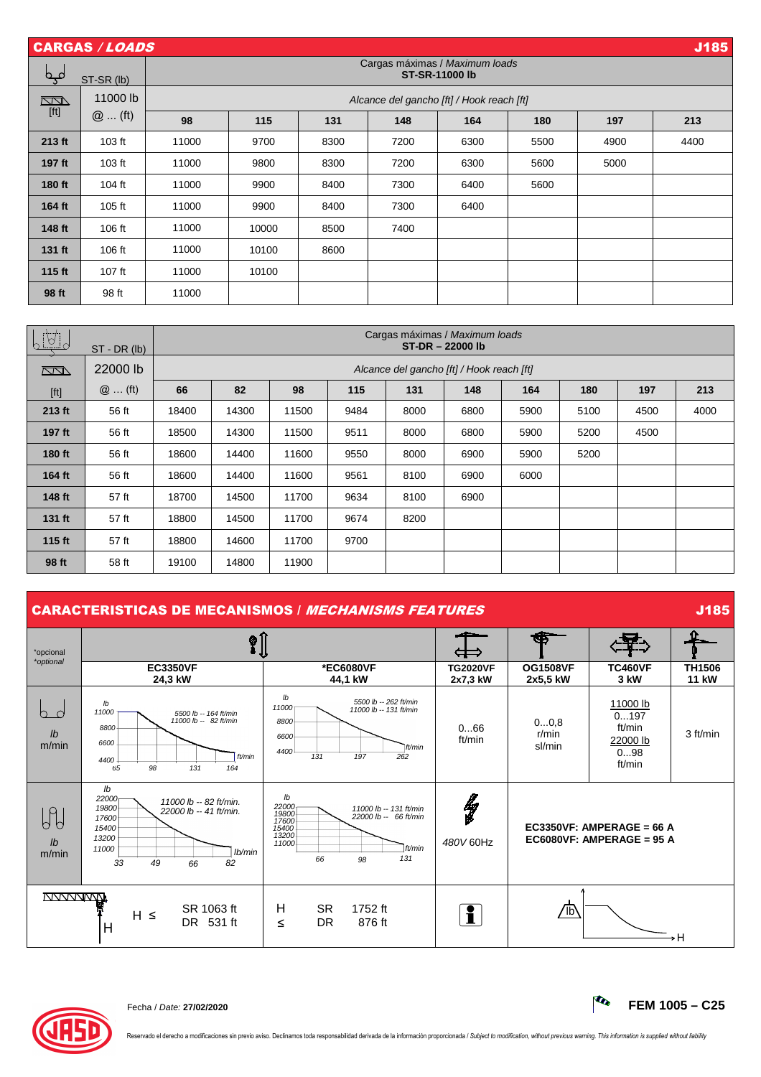| J185<br><b>CARGAS / LOADS</b> |            |       |                                                         |      |      |                                           |      |      |      |  |  |
|-------------------------------|------------|-------|---------------------------------------------------------|------|------|-------------------------------------------|------|------|------|--|--|
| مہم                           | ST-SR (lb) |       | Cargas máximas / Maximum loads<br><b>ST-SR-11000 lb</b> |      |      |                                           |      |      |      |  |  |
| $\Box$                        | 11000 lb   |       |                                                         |      |      | Alcance del gancho [ft] / Hook reach [ft] |      |      |      |  |  |
| $[ft]$                        | $@$ (ft)   | 98    | 115                                                     | 131  | 148  | 164                                       | 180  | 197  | 213  |  |  |
| 213 ft                        | 103 ft     | 11000 | 9700                                                    | 8300 | 7200 | 6300                                      | 5500 | 4900 | 4400 |  |  |
| 197 ft                        | 103 ft     | 11000 | 9800                                                    | 8300 | 7200 | 6300                                      | 5600 | 5000 |      |  |  |
| 180 ft                        | 104 ft     | 11000 | 9900                                                    | 8400 | 7300 | 6400                                      | 5600 |      |      |  |  |
| 164 ft                        | 105 ft     | 11000 | 9900                                                    | 8400 | 7300 | 6400                                      |      |      |      |  |  |
| 148 ft                        | 106 ft     | 11000 | 10000                                                   | 8500 | 7400 |                                           |      |      |      |  |  |
| 131 ft                        | 106 ft     | 11000 | 10100                                                   | 8600 |      |                                           |      |      |      |  |  |
| 115 ft                        | $107$ ft   | 11000 | 10100                                                   |      |      |                                           |      |      |      |  |  |
| 98 ft                         | 98 ft      | 11000 |                                                         |      |      |                                           |      |      |      |  |  |

| <u>LUJ</u>                                                                                                                                                                                                            | $ST - DR (lb)$ | Cargas máximas / Maximum loads<br>ST-DR-22000 lb |                                           |       |      |      |      |      |      |      |      |
|-----------------------------------------------------------------------------------------------------------------------------------------------------------------------------------------------------------------------|----------------|--------------------------------------------------|-------------------------------------------|-------|------|------|------|------|------|------|------|
| $\sqrt{2}$                                                                                                                                                                                                            | 22000 lb       |                                                  | Alcance del gancho [ft] / Hook reach [ft] |       |      |      |      |      |      |      |      |
| $[ft] % \begin{center} % \includegraphics[width=\linewidth]{imagesSupplemental_3.png} % \end{center} % \caption { % Our method is used for the method. % The method is used in the text. % } % \label{fig:example} %$ | $@$ (ft)       | 66                                               | 82                                        | 98    | 115  | 131  | 148  | 164  | 180  | 197  | 213  |
| 213 ft                                                                                                                                                                                                                | 56 ft          | 18400                                            | 14300                                     | 11500 | 9484 | 8000 | 6800 | 5900 | 5100 | 4500 | 4000 |
| 197 ft                                                                                                                                                                                                                | 56 ft          | 18500                                            | 14300                                     | 11500 | 9511 | 8000 | 6800 | 5900 | 5200 | 4500 |      |
| 180 ft                                                                                                                                                                                                                | 56 ft          | 18600                                            | 14400                                     | 11600 | 9550 | 8000 | 6900 | 5900 | 5200 |      |      |
| 164 ft                                                                                                                                                                                                                | 56 ft          | 18600                                            | 14400                                     | 11600 | 9561 | 8100 | 6900 | 6000 |      |      |      |
| 148 ft                                                                                                                                                                                                                | 57 ft          | 18700                                            | 14500                                     | 11700 | 9634 | 8100 | 6900 |      |      |      |      |
| 131 ft                                                                                                                                                                                                                | 57 ft          | 18800                                            | 14500                                     | 11700 | 9674 | 8200 |      |      |      |      |      |
| 115 ft                                                                                                                                                                                                                | 57 ft          | 18800                                            | 14600                                     | 11700 | 9700 |      |      |      |      |      |      |
| 98 ft                                                                                                                                                                                                                 | 58 ft          | 19100                                            | 14800                                     | 11900 |      |      |      |      |      |      |      |

## **CARACTERISTICAS DE MECANISMOS** / *MECHANISMS FEATURES* **GARACTERISTICAS DE MECANISMOS** / *MECHANISMS FEATURES*

| *opcional<br>*optional                                   | $\sqrt[\mathbf{S}]{\mathbf{0}}$                                                                                                                                        |                                                                                                                                 | Œ                           |                             |                                                          |                               |
|----------------------------------------------------------|------------------------------------------------------------------------------------------------------------------------------------------------------------------------|---------------------------------------------------------------------------------------------------------------------------------|-----------------------------|-----------------------------|----------------------------------------------------------|-------------------------------|
|                                                          | <b>EC3350VF</b><br>24,3 kW                                                                                                                                             | *EC6080VF<br>44,1 kW                                                                                                            | <b>TG2020VF</b><br>2x7,3 kW | <b>OG1508VF</b><br>2x5,5 kW | <b>TC460VF</b><br>3 kW                                   | <b>TH1506</b><br><b>11 kW</b> |
| h.<br>$\overline{C}$<br>$\mathsf{I} \mathsf{b}$<br>m/min | Ib<br>11000<br>5500 lb -- 164 ft/min<br>11000 lb -- 82 ft/min<br>8800<br>6600<br>ft/min<br>4400<br>98<br>65<br>131<br>164                                              | lb<br>5500 lb -- 262 ft/min<br>11000<br>11000 lb -- 131 ft/min<br>8800<br>6600<br>tt/min<br>4400<br>131<br>197<br>262           | 066<br>ft/min               | 00,8<br>r/min<br>sl/min     | 11000 lb<br>0197<br>ft/min<br>22000 lb<br>098<br>ft/min  | 3 ft/min                      |
| $P_{o}$<br>h<br>$\mathsf{lb}$<br>m/min                   | $\mathsf{lb}$<br>22000 <sub>T</sub><br>11000 lb -- 82 ft/min.<br>19800<br>22000 lb -- 41 ft/min.<br>17600<br>15400<br>13200<br>11000<br>lb/min<br>33<br>82<br>49<br>66 | lb<br>22000<br>11000 lb -- 131 ft/min<br>19800<br>22000 lb -- 66 ft/min<br>17600<br>15400<br>11000<br>ft/min<br>131<br>66<br>98 | ly<br>480V 60Hz             |                             | EC3350VF: AMPERAGE = 66 A<br>EC6080VF: AMPERAGE = $95$ A |                               |
| <b>NYVYVWW</b>                                           | SR 1063 ft<br>$H \leq$<br>DR 531 ft<br>H                                                                                                                               | H<br><b>SR</b><br>1752 ft<br><b>DR</b><br>876 ft<br>≤                                                                           | $\mathbf i$                 | ℼ                           |                                                          | ۰H                            |

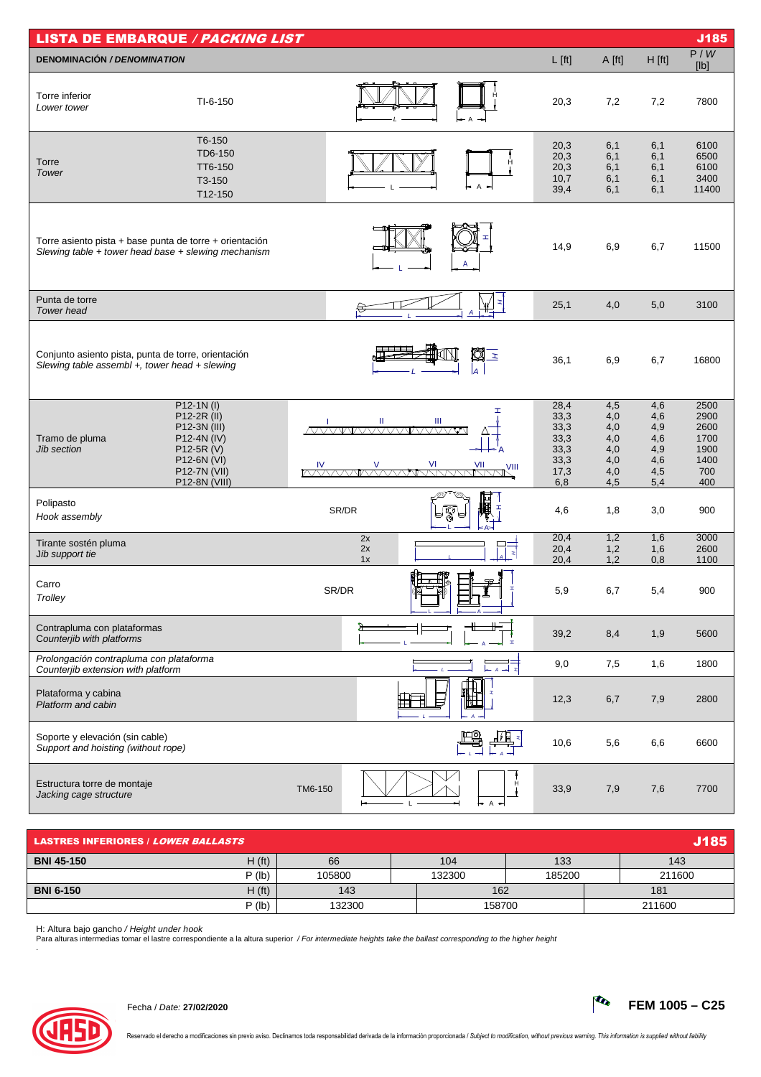| <b>LISTA DE EMBARQUE / PACKING LIST</b><br>J185                                                                |                                                                                                                         |                    |                                                             |                                                      |                                                      |                                                            |  |  |
|----------------------------------------------------------------------------------------------------------------|-------------------------------------------------------------------------------------------------------------------------|--------------------|-------------------------------------------------------------|------------------------------------------------------|------------------------------------------------------|------------------------------------------------------------|--|--|
| <b>DENOMINACIÓN / DENOMINATION</b>                                                                             |                                                                                                                         |                    | $L$ [ft]                                                    | A [ft]                                               | H [ft]                                               | P/W<br>[lb]                                                |  |  |
| Torre inferior<br>Lower tower                                                                                  | $TI-6-150$                                                                                                              |                    | 20,3                                                        | 7,2                                                  | 7,2                                                  | 7800                                                       |  |  |
| Torre<br>Tower                                                                                                 | T6-150<br>TD6-150<br>TT6-150<br>T3-150<br>T12-150                                                                       | $\overline{A}$     | 20,3<br>20,3<br>20,3<br>10,7<br>39,4                        | 6,1<br>6,1<br>6,1<br>6,1<br>6,1                      | 6,1<br>6,1<br>6,1<br>6,1<br>6,1                      | 6100<br>6500<br>6100<br>3400<br>11400                      |  |  |
| Torre asiento pista + base punta de torre + orientación<br>Slewing table + tower head base + slewing mechanism |                                                                                                                         | A                  | 14,9                                                        | 6,9                                                  | 6,7                                                  | 11500                                                      |  |  |
| Punta de torre<br>Tower head                                                                                   |                                                                                                                         |                    | 25,1                                                        | 4,0                                                  | 5,0                                                  | 3100                                                       |  |  |
| Conjunto asiento pista, punta de torre, orientación<br>Slewing table assembl +, tower head + slewing           |                                                                                                                         | Ø<br>la            | $\mathbf{z}$<br>36,1                                        | 6,9                                                  | 6,7                                                  | 16800                                                      |  |  |
| Tramo de pluma<br>Jib section                                                                                  | $P12-1N(1)$<br>P12-2R (II)<br>P12-3N (III)<br>P12-4N (IV)<br>P12-5R (V)<br>P12-6N (VI)<br>P12-7N (VII)<br>P12-8N (VIII) | Ш<br>Ш             | 28,4<br>33,3<br>33,3<br>33,3<br>33,3<br>33,3<br>17,3<br>6,8 | 4,5<br>4,0<br>4,0<br>4,0<br>4,0<br>4,0<br>4,0<br>4,5 | 4,6<br>4,6<br>4,9<br>4,6<br>4,9<br>4,6<br>4,5<br>5,4 | 2500<br>2900<br>2600<br>1700<br>1900<br>1400<br>700<br>400 |  |  |
| Polipasto<br>Hook assembly                                                                                     |                                                                                                                         | 囲<br>SR/DR<br>স্কু | 4,6                                                         | 1,8                                                  | 3,0                                                  | 900                                                        |  |  |
| Tirante sostén pluma<br>Jib support tie                                                                        |                                                                                                                         | 2x<br>2x<br>1x     | 20,4<br>20,4<br>$\mathbf{r}$<br>20,4                        | 1,2<br>1,2<br>1,2                                    | 1,6<br>1,6<br>0,8                                    | 3000<br>2600<br>1100                                       |  |  |
| Carro<br>Trolley                                                                                               |                                                                                                                         | SR/DR              | 5,9                                                         | 6,7                                                  | 5,4                                                  | 900                                                        |  |  |
| Contrapluma con plataformas<br>Counterjib with platforms                                                       |                                                                                                                         |                    | 39,2<br>$\mathbf{r}$                                        | 8,4                                                  | 1,9                                                  | 5600                                                       |  |  |
| Prolongación contrapluma con plataforma<br>Counterjib extension with platform                                  |                                                                                                                         |                    | 9,0                                                         | 7,5                                                  | 1,6                                                  | 1800                                                       |  |  |
| Plataforma y cabina<br>Platform and cabin                                                                      |                                                                                                                         |                    | 12,3                                                        | 6,7                                                  | 7,9                                                  | 2800                                                       |  |  |
| Soporte y elevación (sin cable)<br>Support and hoisting (without rope)                                         |                                                                                                                         |                    | 10,6                                                        | 5,6                                                  | 6,6                                                  | 6600                                                       |  |  |
| Estructura torre de montaje<br>Jacking cage structure                                                          |                                                                                                                         | TM6-150            | 33,9<br>$\overline{A}$                                      | 7,9                                                  | 7,6                                                  | 7700                                                       |  |  |

| <b>J185/</b><br><b>LASTRES INFERIORES / LOWER BALLASTS</b> |                    |                  |        |        |        |  |  |
|------------------------------------------------------------|--------------------|------------------|--------|--------|--------|--|--|
| <b>BNI 45-150</b>                                          | H(f <sub>t</sub> ) | 66               | 104    | 133    | 143    |  |  |
|                                                            | $P$ (lb)           | 105800           | 132300 | 185200 | 211600 |  |  |
| <b>BNI 6-150</b>                                           | H(f <sub>t</sub> ) | 143              | 162    |        | 181    |  |  |
|                                                            | $P$ (lb)           | 132300<br>158700 |        |        |        |  |  |

H: Altura bajo gancho / *Height under hook*<br>Para alturas intermedias tomar el lastre correspondiente a la altura superior */ For intermediate heights take the ballast corresponding to the higher height*<br>.